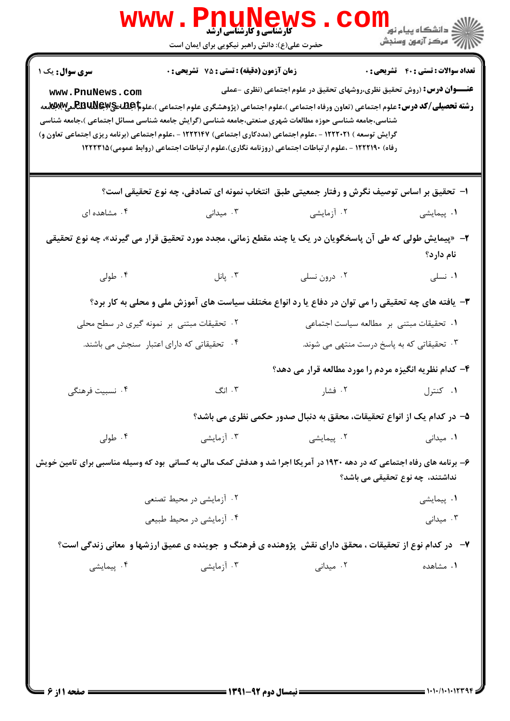|                                            | www.PnuNews<br>حضرت علی(ع): دانش راهبر نیکویی برای ایمان است                                                                                                                                                                                                                                                                                                                                                                                                            |                                                                               | اران دانشگاه پيام نور<br>۱۳۸۰ -<br>۱۳۸۱ - مرکز آزمون وسنجش |
|--------------------------------------------|-------------------------------------------------------------------------------------------------------------------------------------------------------------------------------------------------------------------------------------------------------------------------------------------------------------------------------------------------------------------------------------------------------------------------------------------------------------------------|-------------------------------------------------------------------------------|------------------------------------------------------------|
| سری سوال: یک ۱<br>www.PnuNews.com          | زمان آزمون (دقیقه) : تستی : 75 آتشریحی : 0                                                                                                                                                                                                                                                                                                                                                                                                                              | <b>عنـــوان درس:</b> (روش تحقیق نظری،روشهای تحقیق در علوم اجتماعی (نظری -عملی | <b>تعداد سوالات : تستي : 40 ٪ تشریحي : 0</b>               |
|                                            | <b>رشته تحصیلی/کد درس:</b> علوم اجتماعی (تعاون ورفاه اجتماعی )،علوم اجتماعی (پژوهشگری علوم اجتماعی )،علو <b>م اطِطلاعیPEBUNE سی) بطبق</b><br>شناسی،جامعه شناسی حوزه مطالعات شهری صنعتی،جامعه شناسی (گرایش جامعه شناسی مسائل اجتماعی )،جامعه شناسی<br>گرایش توسعه ) ۱۲۲۲۰۲۱ - ،علوم اجتماعی (مددکاری اجتماعی) ۱۲۲۲۱۴۷ - ،علوم اجتماعی (برنامه ریزی اجتماعی تعاون و)<br>رفاه) ۱۲۲۲۱۹۰ - ،علوم ارتباطات اجتماعی (روزنامه نگاری)،علوم ارتباطات اجتماعی (روابط عمومی)۱۲۲۲۳۱۵ |                                                                               |                                                            |
|                                            | ا–  تحقیق بر اساس توصیف نگرش و رفتار جمعیتی طبق  انتخاب نمونه ای تصادفی، چه نوع تحقیقی است؟                                                                                                                                                                                                                                                                                                                                                                             |                                                                               |                                                            |
| ۰۴ مشاهده ای                               | ۰۳ میدانی                                                                                                                                                                                                                                                                                                                                                                                                                                                               | ۰۲ آزمایشی                                                                    | ۰۱ پیمایشی                                                 |
|                                            | ۲–   «پیمایش طولی که طی آن پاسخگویان در یک یا چند مقطع زمانی، مجدد مورد تحقیق قرار می گیرند»، چه نوع تحقیقی                                                                                                                                                                                                                                                                                                                                                             |                                                                               | نام دارد؟                                                  |
| ۰۴ طولی                                    | ۰۳ پانل $\cdot$                                                                                                                                                                                                                                                                                                                                                                                                                                                         | ۰۲ درون نسلی                                                                  | ٠١ نسلى                                                    |
|                                            | ۳- یافته های چه تحقیقی را می توان در دفاع یا رد انواع مختلف سیاست های آموزش ملی و محلی به کار برد؟                                                                                                                                                                                                                                                                                                                                                                      |                                                                               |                                                            |
|                                            | ۰۲ تحقیقات مبتنی بر نمونه گیری در سطح محلی                                                                                                                                                                                                                                                                                                                                                                                                                              | ٠١ تحقيقات مبتنى بر مطالعه سياست اجتماعى                                      |                                                            |
| ۰۴ تحقیقاتی که دارای اعتبار سنجش می باشند. |                                                                                                                                                                                                                                                                                                                                                                                                                                                                         | ۰۳ تحقیقاتی که به پاسخ درست منتهی می شوند.                                    |                                                            |
|                                            |                                                                                                                                                                                                                                                                                                                                                                                                                                                                         | ۴- کدام نظریه انگیزه مردم را مورد مطالعه قرار می دهد؟                         |                                                            |
| ۰۴ نسبیت فرهنگ <sub>ی</sub>                | ۰۳ انگ                                                                                                                                                                                                                                                                                                                                                                                                                                                                  | ۰۱ کنترل در است. ۲۰ فشار                                                      |                                                            |
|                                            |                                                                                                                                                                                                                                                                                                                                                                                                                                                                         | ۵– در کدام یک از انواع تحقیقات، محقق به دنبال صدور حکمی نظری می باشد؟         |                                                            |
| ۰۴ طولی                                    | ۰۳ آزمایشی                                                                                                                                                                                                                                                                                                                                                                                                                                                              | ۰۲ پیمایشی                                                                    | ۰۱ میدانی                                                  |
|                                            | ۶- برنامه های رفاه اجتماعی که در دهه ۱۹۳۰ در آمریکا اجرا شد و هدفش کمک مالی به کسانی بود که وسیله مناسبی برای تامین خویش                                                                                                                                                                                                                                                                                                                                                |                                                                               | نداشتند، چه نوع تحقیقی می باشد؟                            |
|                                            | ۲. آزمایشی در محیط تصنعی                                                                                                                                                                                                                                                                                                                                                                                                                                                |                                                                               | ۰۱ پیمایشی                                                 |
|                                            | ۰۴ آزمایشی در محیط طبیعی                                                                                                                                                                                                                                                                                                                                                                                                                                                |                                                                               | ۰۳ میدانی                                                  |
|                                            | ۷- در کدام نوع از تحقیقات ، محقق دارای نقش پژوهنده ی فرهنگ و جوینده ی عمیق ارزشها و معانی زندگی است؟                                                                                                                                                                                                                                                                                                                                                                    |                                                                               |                                                            |
| ۰۴ پیمایشی                                 | ۰۳ آزمایشی                                                                                                                                                                                                                                                                                                                                                                                                                                                              | ۰۲ میدانی                                                                     | ۰۱ مشاهده                                                  |
|                                            |                                                                                                                                                                                                                                                                                                                                                                                                                                                                         |                                                                               |                                                            |
|                                            |                                                                                                                                                                                                                                                                                                                                                                                                                                                                         |                                                                               |                                                            |
|                                            |                                                                                                                                                                                                                                                                                                                                                                                                                                                                         |                                                                               |                                                            |
|                                            |                                                                                                                                                                                                                                                                                                                                                                                                                                                                         |                                                                               |                                                            |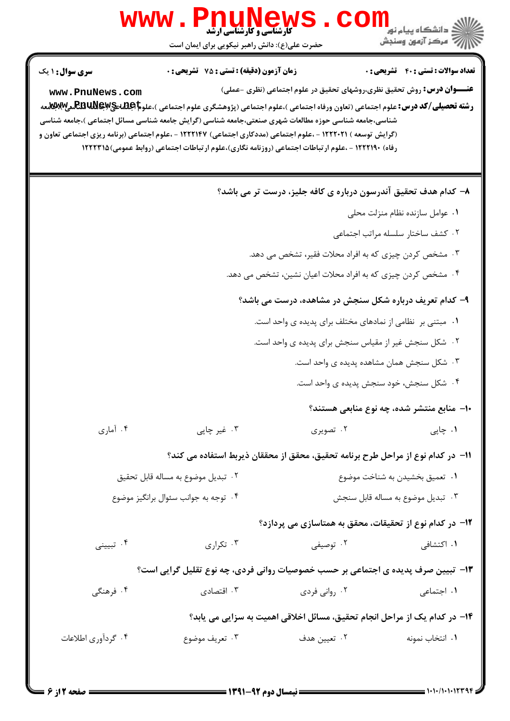|                                                                                  | <b>www.PnuNews</b>                                                                                                                                                                                                                                                                                                                                                                                                                                                          |                                                              |                                                                               |  |
|----------------------------------------------------------------------------------|-----------------------------------------------------------------------------------------------------------------------------------------------------------------------------------------------------------------------------------------------------------------------------------------------------------------------------------------------------------------------------------------------------------------------------------------------------------------------------|--------------------------------------------------------------|-------------------------------------------------------------------------------|--|
|                                                                                  | حضرت علی(ع): دانش راهبر نیکویی برای ایمان است                                                                                                                                                                                                                                                                                                                                                                                                                               |                                                              |                                                                               |  |
| <b>سری سوال : ۱ یک</b>                                                           | <b>زمان آزمون (دقیقه) : تستی : 75 تشریحی : 0</b>                                                                                                                                                                                                                                                                                                                                                                                                                            |                                                              | <b>تعداد سوالات : تستي : 40 ٪ تشريحي : 0</b>                                  |  |
| www.PnuNews.com                                                                  | <b>رشته تحصیلی/کد درس:</b> علوم اجتماعی (تعاون ورفاه اجتماعی )،علوم اجتماعی (پژوهشگری علوم اجتماعی )،علو <b>م REBUNey،کلال تیم است به است</b><br>شناسی،جامعه شناسی حوزه مطالعات شهری صنعتی،جامعه شناسی (گرایش جامعه شناسی مسائل اجتماعی )،جامعه شناسی<br>(گرایش توسعه ) ۱۲۲۲۰۲۱ - ،علوم اجتماعی (مددکاری اجتماعی) ۱۲۲۲۱۴۷ - ،علوم اجتماعی (برنامه ریزی اجتماعی تعاون و<br>رفاه) ۱۲۲۲۱۹۰ - ،علوم ارتباطات اجتماعی (روزنامه نگاری)،علوم ارتباطات اجتماعی (روابط عمومی)۱۲۲۲۳۱۵ |                                                              | <b>عنـــوان درس:</b> روش تحقیق نظری،روشهای تحقیق در علوم اجتماعی (نظری -عملی) |  |
|                                                                                  |                                                                                                                                                                                                                                                                                                                                                                                                                                                                             |                                                              | ۸– کدام هدف تحقیق آندرسون درباره ی کافه جلیز، درست تر می باشد؟                |  |
|                                                                                  |                                                                                                                                                                                                                                                                                                                                                                                                                                                                             |                                                              | ٠١ عوامل سازنده نظام منزلت محلى                                               |  |
|                                                                                  |                                                                                                                                                                                                                                                                                                                                                                                                                                                                             |                                                              | ۰۲ کشف ساختار سلسله مراتب اجتماعی                                             |  |
|                                                                                  |                                                                                                                                                                                                                                                                                                                                                                                                                                                                             | ۰۳ مشخص کردن چیزی که به افراد محلات فقیر، تشخص می دهد.       |                                                                               |  |
|                                                                                  |                                                                                                                                                                                                                                                                                                                                                                                                                                                                             | ۰۴ مشخص کردن چیزی که به افراد محلات اعیان نشین، تشخص می دهد. |                                                                               |  |
|                                                                                  |                                                                                                                                                                                                                                                                                                                                                                                                                                                                             |                                                              | ۹- کدام تعریف درباره شکل سنجش در مشاهده، درست می باشد؟                        |  |
|                                                                                  |                                                                                                                                                                                                                                                                                                                                                                                                                                                                             | ۰۱ مبتنی بر نظامی از نمادهای مختلف برای پدیده ی واحد است.    |                                                                               |  |
|                                                                                  |                                                                                                                                                                                                                                                                                                                                                                                                                                                                             | ۰۲ شکل سنجش غیر از مقیاس سنجش برای پدیده ی واحد است.         |                                                                               |  |
|                                                                                  |                                                                                                                                                                                                                                                                                                                                                                                                                                                                             |                                                              | ۰۳ شکل سنجش همان مشاهده پدیده ی واحد است.                                     |  |
|                                                                                  |                                                                                                                                                                                                                                                                                                                                                                                                                                                                             |                                                              | ۰۴ شکل سنجش، خود سنجش پدیده ی واحد است.                                       |  |
|                                                                                  |                                                                                                                                                                                                                                                                                                                                                                                                                                                                             |                                                              | ۱۰– منابع منتشر شده، چه نوع منابعی هستند؟                                     |  |
| ۰۴ آماری                                                                         | ۰۳ غیر چاپی                                                                                                                                                                                                                                                                                                                                                                                                                                                                 | ۰۲ تصویری                                                    | ۰۱ چاپی                                                                       |  |
|                                                                                  | ١١− در كدام نوع از مراحل طرح برنامه تحقيق، محقق از محققان ذيربط استفاده مي كند؟                                                                                                                                                                                                                                                                                                                                                                                             |                                                              |                                                                               |  |
| ٠٢ تبديل موضوع به مساله قابل تحقيق                                               |                                                                                                                                                                                                                                                                                                                                                                                                                                                                             |                                                              | ۰۱ تعمیق بخشیدن به شناخت موضوع                                                |  |
|                                                                                  | ۰۴ توجه به جوانب سئوال برانگيز موضوع                                                                                                                                                                                                                                                                                                                                                                                                                                        |                                                              | ٠٣ تبديل موضوع به مساله قابل سنجش                                             |  |
|                                                                                  |                                                                                                                                                                                                                                                                                                                                                                                                                                                                             |                                                              | <b>۱۲</b> - در کدام نوع از تحقیقات، محقق به همتاسازی می پردازد؟               |  |
| ۰۴ تبیینی                                                                        | ۰۳ تکراری                                                                                                                                                                                                                                                                                                                                                                                                                                                                   | ۰۲ توصیفی                                                    | ۰۱ اکتشافی                                                                    |  |
| ۱۳- تبیین صرف پدیده ی اجتماعی بر حسب خصوصیات روانی فردی، چه نوع تقلیل گرایی است؟ |                                                                                                                                                                                                                                                                                                                                                                                                                                                                             |                                                              |                                                                               |  |
| ۰۴ فرهنگی                                                                        | ۰۳ اقتصادی                                                                                                                                                                                                                                                                                                                                                                                                                                                                  | ۰۲ روانی فردی                                                | ۰۱ اجتماعی                                                                    |  |
|                                                                                  |                                                                                                                                                                                                                                                                                                                                                                                                                                                                             |                                                              | ۱۴- در کدام یک از مراحل انجام تحقیق، مسائل اخلاقی اهمیت به سزایی می یابد؟     |  |
| ۰۴ گردآوري اطلاعات                                                               | ۰۳ تعریف موضوع                                                                                                                                                                                                                                                                                                                                                                                                                                                              | ۰۲ تعیین هدف                                                 | ٠١. انتخاب نمونه                                                              |  |
|                                                                                  |                                                                                                                                                                                                                                                                                                                                                                                                                                                                             |                                                              |                                                                               |  |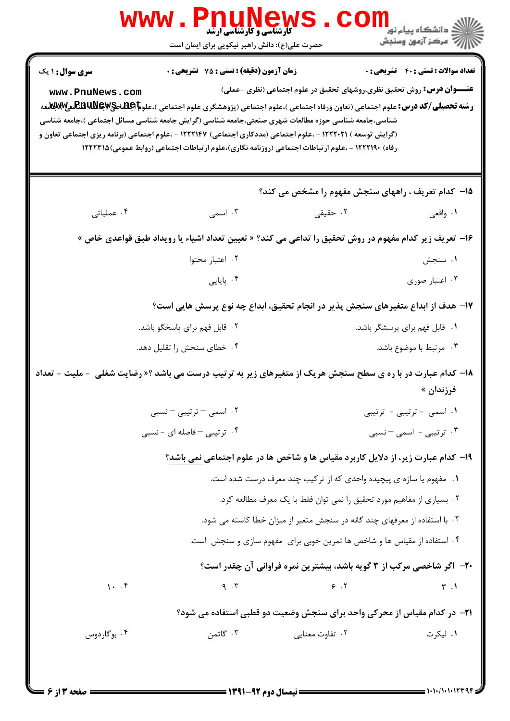| <b>WWW</b>                                                                                                          | <b>کارشناسی و کارشناسی ارشد</b>                                                                                                                                                                                       |                                                                               | ڪ دانشڪاه پيام نور<br>ر <i>7</i> مرڪز آزمون وسنڊش |
|---------------------------------------------------------------------------------------------------------------------|-----------------------------------------------------------------------------------------------------------------------------------------------------------------------------------------------------------------------|-------------------------------------------------------------------------------|---------------------------------------------------|
|                                                                                                                     | حضرت علی(ع): دانش راهبر نیکویی برای ایمان است                                                                                                                                                                         |                                                                               |                                                   |
| <b>سری سوال : ۱ یک</b>                                                                                              | <b>زمان آزمون (دقیقه) : تستی : 75 تشریحی : 0</b>                                                                                                                                                                      |                                                                               | <b>تعداد سوالات : تستی : 40 قشریحی : 0</b>        |
| www.PnuNews.com                                                                                                     |                                                                                                                                                                                                                       | <b>عنـــوان درس:</b> روش تحقیق نظری،روشهای تحقیق در علوم اجتماعی (نظری -عملی) |                                                   |
|                                                                                                                     | <b>رشته تحصیلی/کد درس:</b> علوم اجتماعی (تعاون ورفاه اجتماعی )،علوم اجتماعی (پژوهشگری علوم اجتماعی )،علو <b>م REBUNE و REBUNE</b><br>.                                                                                |                                                                               |                                                   |
|                                                                                                                     | شناسی،جامعه شناسی حوزه مطالعات شهری صنعتی،جامعه شناسی (گرایش جامعه شناسی مسائل اجتماعی )،جامعه شناسی<br>(گرایش توسعه ) ۱۲۲۲۰۲۱ - ،علوم اجتماعی (مددکاری اجتماعی) ۱۲۲۲۱۴۷ - ،علوم اجتماعی (برنامه ریزی اجتماعی تعاون و |                                                                               |                                                   |
|                                                                                                                     | رفاه) ۱۲۲۲۱۹۰ - ،علوم ارتباطات اجتماعی (روزنامه نگاری)،علوم ارتباطات اجتماعی (روابط عمومی)۱۲۲۲۳۱۵                                                                                                                     |                                                                               |                                                   |
|                                                                                                                     |                                                                                                                                                                                                                       |                                                                               |                                                   |
|                                                                                                                     |                                                                                                                                                                                                                       | 15- كدام تعريف ، راههاي سنجش مفهوم را مشخص مي كند؟                            |                                                   |
| ۰۴ عملیاتی                                                                                                          | ۰۳ اسمی                                                                                                                                                                                                               | ۰۲ حقیقی                                                                      | ۱. واقعی                                          |
|                                                                                                                     | ۱۶– تعریف زیر کدام مفهوم در روش تحقیق را تداعی می کند؟ « تعیین تعداد اشیاء یا رویداد طبق قواعدی خاص »                                                                                                                 |                                                                               |                                                   |
|                                                                                                                     | ٠٢ اعتبار محتوا                                                                                                                                                                                                       |                                                                               | ۰۱ سنجش                                           |
|                                                                                                                     | ۰۴ پایایی                                                                                                                                                                                                             |                                                                               | ۰۳ اعتبار صوری                                    |
|                                                                                                                     | ۱۷– هدف از ابداع متغیرهای سنجش پذیر در انجام تحقیق، ابداع چه نوع پرسش هایی است؟                                                                                                                                       |                                                                               |                                                   |
|                                                                                                                     | ۰۲ قابل فهم برای پاسخگو باشد.                                                                                                                                                                                         |                                                                               | ۰۱ قابل فهم برای پرسشگر باشد.                     |
|                                                                                                                     | ۰۴ خطای سنجش را تقلیل دهد.                                                                                                                                                                                            |                                                                               | ۰۳ مرتبط با موضوع باشد.                           |
| <b>۱۸</b> - کدام عبارت در با ره ی سطح سنجش هریک از متغیرهای زیر به ترتیب درست می باشد ؟« رضایت شغلی  - ملیت - تعداد |                                                                                                                                                                                                                       |                                                                               |                                                   |
|                                                                                                                     |                                                                                                                                                                                                                       |                                                                               | فرزندان »                                         |
|                                                                                                                     | ۰۲ اسمی – ترتیبی – نسبی                                                                                                                                                                                               |                                                                               | ۰۱ اسمی - ترتیبی - ترتیبی                         |
|                                                                                                                     | ۰۴ تر تیبی <sup>-</sup> فاصله ای - نسبی                                                                                                                                                                               |                                                                               | ۰۳ ترتیبی - اسمی – نسبی                           |
| ۱۹- کدام عبارت زیر، از دلایل کاربرد مقیاس ها و شاخص ها در علوم اجتماعی نمی باشد؟                                    |                                                                                                                                                                                                                       |                                                                               |                                                   |
|                                                                                                                     |                                                                                                                                                                                                                       | ۰۱ مفهوم یا سازه ی پیچیده واحدی که از ترکیب چند معرف درست شده است.            |                                                   |
|                                                                                                                     |                                                                                                                                                                                                                       | ٠٢ بسياري از مفاهيم مورد تحقيق را نمي توان فقط با يک معرف مطالعه کرد.         |                                                   |
|                                                                                                                     | ۰۳ با استفاده از معرفهای چند گانه در سنجش متغیر از میزان خطا کاسته می شود.                                                                                                                                            |                                                                               |                                                   |
|                                                                                                                     |                                                                                                                                                                                                                       | ۰۴ استفاده از مقیاس ها و شاخص ها تمرین خوبی برای مفهوم سازی و سنجش است.       |                                                   |
|                                                                                                                     |                                                                                                                                                                                                                       | <b>۲۰</b> - اگر شاخصی مرکب از ۳ گویه باشد، بیشترین نمره فراوانی آن چقدر است؟  |                                                   |
| 1.7                                                                                                                 | 9.7                                                                                                                                                                                                                   | 9.7                                                                           | $\mathsf{r}$ .                                    |
| ۲۱– در کدام مقیاس از محرکی واحد برای سنجش وضعیت دو قطبی استفاده می شود؟                                             |                                                                                                                                                                                                                       |                                                                               |                                                   |
| ۰۴ بوگاردوس                                                                                                         | ۰۳ گاتمن                                                                                                                                                                                                              | ۰۲ تفاوت معنایی                                                               | ۰۱ لیکرت                                          |
|                                                                                                                     |                                                                                                                                                                                                                       |                                                                               |                                                   |
|                                                                                                                     |                                                                                                                                                                                                                       |                                                                               |                                                   |

ЧŦ.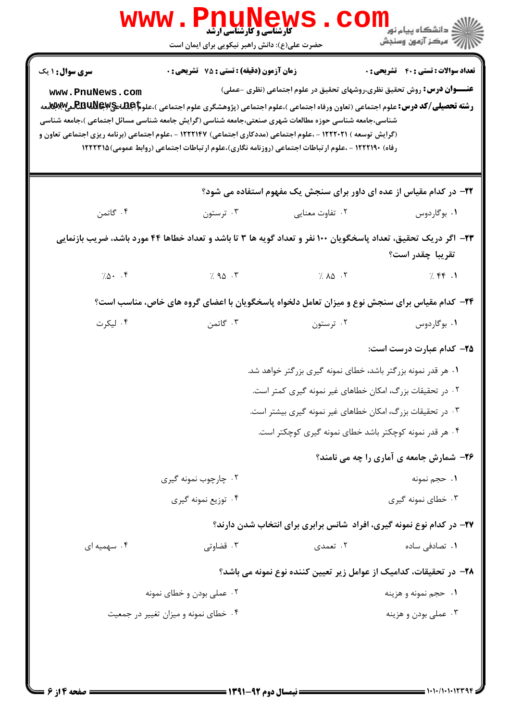| <b>WWW</b>                                                                                                                                                                                                                                                         | <b>کارشناسی و کارشناسی ارشد</b><br>حضرت علی(ع): دانش راهبر نیکویی برای ایمان است                                        |                                                                                                                                                                                                                                                                                                                                   | ≦ دانشڪاه پيام نور<br>7- مرڪز آزمون وسنڊش    |  |
|--------------------------------------------------------------------------------------------------------------------------------------------------------------------------------------------------------------------------------------------------------------------|-------------------------------------------------------------------------------------------------------------------------|-----------------------------------------------------------------------------------------------------------------------------------------------------------------------------------------------------------------------------------------------------------------------------------------------------------------------------------|----------------------------------------------|--|
| <b>سری سوال : ۱ یک</b><br>www.PnuNews.com<br>شناسی،جامعه شناسی حوزه مطالعات شهری صنعتی،جامعه شناسی (گرایش جامعه شناسی مسائل اجتماعی )،جامعه شناسی<br>(گرایش توسعه ) ۱۲۲۲۰۲۱ - ،علوم اجتماعی (مددکاری اجتماعی) ۱۲۲۲۱۴۷ - ،علوم اجتماعی (برنامه ریزی اجتماعی تعاون و | <b>زمان آزمون (دقیقه) : تستی : 75 تشریحی : 0</b>                                                                        | <b>عنـــوان درس:</b> روش تحقیق نظری،روشهای تحقیق در علوم اجتماعی (نظری -عملی)<br><b>رشته تحصیلی/کد درس:</b> علوم اجتماعی (تعاون ورفاه اجتماعی )،علوم اجتماعی (پژوهشگری علوم اجتماعی )،علو <b>م اطِطلحیلللهیلیلی میله است</b><br>رفاه) ۱۲۲۲۱۹۰ - ،علوم ارتباطات اجتماعی (روزنامه نگاری)،علوم ارتباطات اجتماعی (روابط عمومی)۱۲۲۲۳۱۵ | <b>تعداد سوالات : تستي : 40 ٪ تشريحي : 0</b> |  |
|                                                                                                                                                                                                                                                                    |                                                                                                                         | <b>۲۲</b> - در کدام مقیاس از عده ای داور برای سنجش یک مفهوم استفاده می شود؟                                                                                                                                                                                                                                                       |                                              |  |
| ۰۴ گاتمن                                                                                                                                                                                                                                                           | ۰۳ ترستون                                                                                                               | ۰۲ تفاوت معنایی                                                                                                                                                                                                                                                                                                                   | ۰۱ بوگاردوس                                  |  |
| ۲۳– اگر دریک تحقیق، تعداد پاسخگویان ۱۰۰ نفر و تعداد گویه ها ۳ تا باشد و تعداد خطاها ۴۴ مورد باشد، ضریب بازنمایی<br>تقريبا چقدر است؟                                                                                                                                |                                                                                                                         |                                                                                                                                                                                                                                                                                                                                   |                                              |  |
| $7.0 - .9$                                                                                                                                                                                                                                                         | 7.90.7                                                                                                                  | $\lambda$ $\Delta$ $\lambda$ $\lambda$                                                                                                                                                                                                                                                                                            | 7.77.1                                       |  |
|                                                                                                                                                                                                                                                                    |                                                                                                                         | <b>۳۴</b> - کدام مقیاس برای سنجش نوع و میزان تعامل دلخواه پاسخگویان با اعضای گروه های خاص، مناسب است؟                                                                                                                                                                                                                             |                                              |  |
| ۰۴ لیکرت                                                                                                                                                                                                                                                           | ۰۳ گاتمن                                                                                                                | ۰۲ ترستون                                                                                                                                                                                                                                                                                                                         | ۰۱ بوگاردوس                                  |  |
|                                                                                                                                                                                                                                                                    |                                                                                                                         |                                                                                                                                                                                                                                                                                                                                   | ۲۵– کدام عبارت درست است:                     |  |
|                                                                                                                                                                                                                                                                    |                                                                                                                         | ۰۱ هر قدر نمونه بزرگتر باشد، خطای نمونه گیری بزرگتر خواهد شد.                                                                                                                                                                                                                                                                     |                                              |  |
|                                                                                                                                                                                                                                                                    | ۰۲ در تحقیقات بزرگ، امکان خطاهای غیر نمونه گیری کمتر است.<br>۰۳ در تحقیقات بزرگ، امکان خطاهای غیر نمونه گیری بیشتر است. |                                                                                                                                                                                                                                                                                                                                   |                                              |  |
|                                                                                                                                                                                                                                                                    |                                                                                                                         | ۰۴ هر قدر نمونه کوچکتر باشد خطای نمونه گیری کوچکتر است.                                                                                                                                                                                                                                                                           |                                              |  |
|                                                                                                                                                                                                                                                                    | ۲۶- شمارش جامعه ی آماری را چه می نامند؟                                                                                 |                                                                                                                                                                                                                                                                                                                                   |                                              |  |
|                                                                                                                                                                                                                                                                    | ۰۲ چارچوب نمونه گیری                                                                                                    |                                                                                                                                                                                                                                                                                                                                   | ۰۱ حجم نمونه                                 |  |
|                                                                                                                                                                                                                                                                    | ۰۴ توزیع نمونه گیری                                                                                                     |                                                                                                                                                                                                                                                                                                                                   | ۰۳ خطای نمونه گیری                           |  |
|                                                                                                                                                                                                                                                                    |                                                                                                                         | ۲۷- در کدام نوع نمونه گیری، افراد ًشانس برابری برای انتخاب شدن دارند؟                                                                                                                                                                                                                                                             |                                              |  |
| ۰۴ سهمیه ای                                                                                                                                                                                                                                                        | ۰۳ قضاوتی                                                                                                               | ۰۲ تعمدی                                                                                                                                                                                                                                                                                                                          | ۰۱ تصادفی ساده                               |  |
|                                                                                                                                                                                                                                                                    |                                                                                                                         | ۲۸– در تحقیقات، کدامیک از عوامل زیر تعیین کننده نوع نمونه می باشد؟                                                                                                                                                                                                                                                                |                                              |  |
|                                                                                                                                                                                                                                                                    | ۰۲ عملي بودن و خطاي نمونه                                                                                               |                                                                                                                                                                                                                                                                                                                                   | ۰۱ حجم نمونه و هزینه                         |  |
| ۰۴ خطای نمونه و میزان تغییر در جمعیت                                                                                                                                                                                                                               |                                                                                                                         |                                                                                                                                                                                                                                                                                                                                   | ۰۳ عملي بودن و هزينه                         |  |
|                                                                                                                                                                                                                                                                    |                                                                                                                         |                                                                                                                                                                                                                                                                                                                                   |                                              |  |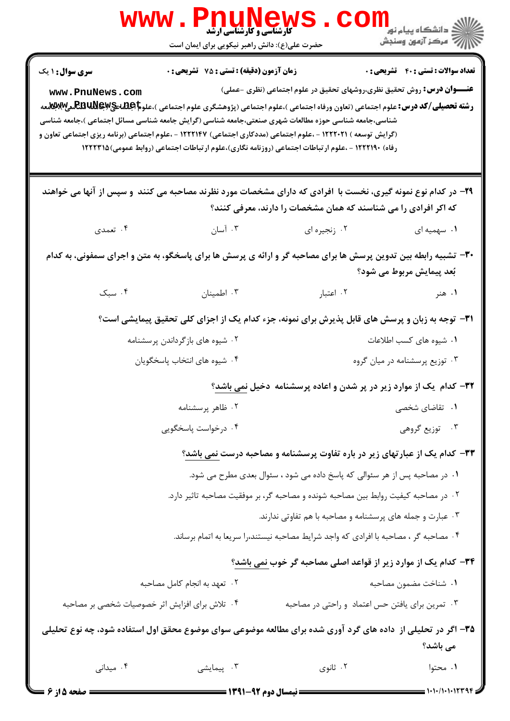|                                                                                                                                             | WWW . P <u>nungwe</u> w;<br>حضرت علی(ع): دانش راهبر نیکویی برای ایمان است |                                                                                                                                                                                                                                                                                                                                                                                                                                                                                                                                                         | لاد دانشگاه پيام نور "<br>   ><br>   > مرکز آزمون وسنڊش |
|---------------------------------------------------------------------------------------------------------------------------------------------|---------------------------------------------------------------------------|---------------------------------------------------------------------------------------------------------------------------------------------------------------------------------------------------------------------------------------------------------------------------------------------------------------------------------------------------------------------------------------------------------------------------------------------------------------------------------------------------------------------------------------------------------|---------------------------------------------------------|
| <b>سری سوال : ۱ یک</b>                                                                                                                      | <b>زمان آزمون (دقیقه) : تستی : 75 ٪ تشریحی : 0</b>                        |                                                                                                                                                                                                                                                                                                                                                                                                                                                                                                                                                         | <b>تعداد سوالات : تستي : 40 ٪ تشريحي : 0</b>            |
| www.PnuNews.com                                                                                                                             |                                                                           | <b>عنـــوان درس:</b> روش تحقیق نظری،روشهای تحقیق در علوم اجتماعی (نظری -عملی)<br><b>رشته تحصیلی/کد درس:</b> علوم اجتماعی (تعاون ورفاه اجتماعی )،علوم اجتماعی (پژوهشگری علوم اجتماعی )،علو <b>م REBUNewg و REBUNex</b> همه<br>شناسی،جامعه شناسی حوزه مطالعات شهری صنعتی،جامعه شناسی (گرایش جامعه شناسی مسائل اجتماعی )،جامعه شناسی<br>(گرایش توسعه ) ۱۲۲۲۰۲۱ - ،علوم اجتماعی (مددکاری اجتماعی) ۱۲۲۲۱۴۷ - ،علوم اجتماعی (برنامه ریزی اجتماعی تعاون و<br>رفاه) ۱۲۲۲۱۹۰ - ،علوم ارتباطات اجتماعی (روزنامه نگاری)،علوم ارتباطات اجتماعی (روابط عمومی)۱۲۲۲۳۱۵ |                                                         |
|                                                                                                                                             |                                                                           | ۲۹- در کدام نوع نمونه گیری، نخست با افرادی که دارای مشخصات مورد نظرند مصاحبه می کنند ًو سپس از آنها می خواهند<br>که اکر افرادی را می شناسند که همان مشخصات را دارند، معرفی کنند؟                                                                                                                                                                                                                                                                                                                                                                        |                                                         |
| ۰۴ تعمدی                                                                                                                                    | ۰۳ آسان                                                                   | ۰۲ زنجیره ای                                                                                                                                                                                                                                                                                                                                                                                                                                                                                                                                            | ۰۱ سهمیه ای                                             |
| ۳۰- تشبیه رابطه بین تدوین پرسش ها برای مصاحبه گر و ارائه ی پرسش ها برای پاسخگو، به متن و اجرای سمفونی، به کدام<br>بُعد پیمایش مربوط می شود؟ |                                                                           |                                                                                                                                                                                                                                                                                                                                                                                                                                                                                                                                                         |                                                         |
| ۰۴ سبک                                                                                                                                      | ۰۳ اطمینان                                                                | ۰۲ اعتبار                                                                                                                                                                                                                                                                                                                                                                                                                                                                                                                                               | ۰۱ هنر                                                  |
|                                                                                                                                             |                                                                           | ۳۱- توجه به زبان و پرسش های قابل پذیرش برای نمونه، جزء کدام یک از اجزای کلی تحقیق پیمایشی است؟                                                                                                                                                                                                                                                                                                                                                                                                                                                          |                                                         |
|                                                                                                                                             | ۰۲ شیوه های بازگرداندن پرسشنامه                                           |                                                                                                                                                                                                                                                                                                                                                                                                                                                                                                                                                         | ۰۱ شیوه های کسب اطلاعات                                 |
|                                                                                                                                             | ۰۴ شیوه های انتخاب پاسخگویان                                              |                                                                                                                                                                                                                                                                                                                                                                                                                                                                                                                                                         | ۰۳ توزیع پرسشنامه در میان گروه                          |
| <b>۳۲</b> – کدام یک از موارد زیر در پر شدن و اعاده پرسشنامه دخیل <u>نمی باشد</u> ؟                                                          |                                                                           |                                                                                                                                                                                                                                                                                                                                                                                                                                                                                                                                                         |                                                         |
|                                                                                                                                             | ٠١ تقاضاى شخصى<br>۰۲ ظاهر پرسشنامه                                        |                                                                                                                                                                                                                                                                                                                                                                                                                                                                                                                                                         |                                                         |
|                                                                                                                                             | ۰۴ درخواست پاسخگویی                                                       |                                                                                                                                                                                                                                                                                                                                                                                                                                                                                                                                                         | ۰۳ توزیع گروهی                                          |
|                                                                                                                                             |                                                                           | <b>۳۳</b> - کدام یک از عبارتهای زیر در باره تفاوت پرسشنامه و مصاحبه درست <u>نمی باشد</u> ؟                                                                                                                                                                                                                                                                                                                                                                                                                                                              |                                                         |
|                                                                                                                                             |                                                                           | ۰۱ در مصاحبه پس از هر سئوالی که پاسخ داده می شود ، سئوال بعدی مطرح می شود.                                                                                                                                                                                                                                                                                                                                                                                                                                                                              |                                                         |
|                                                                                                                                             |                                                                           | ۰۲ در مصاحبه کیفیت روابط بین مصاحبه شونده و مصاحبه گر، بر موفقیت مصاحبه تاثیر دارد.                                                                                                                                                                                                                                                                                                                                                                                                                                                                     |                                                         |
|                                                                                                                                             |                                                                           | ۰۳ عبارت و جمله های پرسشنامه و مصاحبه با هم تفاوتی ندارند.                                                                                                                                                                                                                                                                                                                                                                                                                                                                                              |                                                         |
|                                                                                                                                             |                                                                           | ۰۴ مصاحبه گر ، مصاحبه با افرادی که واجد شرایط مصاحبه نیستند،را سریعا به اتمام برساند.                                                                                                                                                                                                                                                                                                                                                                                                                                                                   |                                                         |
|                                                                                                                                             |                                                                           | ۳۴- کدام یک از موارد زیر از قواعد اصلی مصاحبه گر خوب نمی باشد؟                                                                                                                                                                                                                                                                                                                                                                                                                                                                                          |                                                         |
|                                                                                                                                             | ۰۲ تعهد به انجام کامل مصاحبه                                              |                                                                                                                                                                                                                                                                                                                                                                                                                                                                                                                                                         | ٠١ شناخت مضمون مصاحبه                                   |
| ۰۴ تلاش برای افزایش اثر خصوصیات شخصی بر مصاحبه                                                                                              |                                                                           | ۰۳ تمرین برای یافتن حس اعتماد و راحتی در مصاحبه                                                                                                                                                                                                                                                                                                                                                                                                                                                                                                         |                                                         |
|                                                                                                                                             |                                                                           | ۳۵– اگر در تحلیلی از  داده های گرد آوری شده برای مطالعه موضوعی سوای موضوع محقق اول استفاده شود، چه نوع تحلیلی                                                                                                                                                                                                                                                                                                                                                                                                                                           | می باشد؟                                                |
| ۰۴ میدانی                                                                                                                                   | ۰۳ پیمایشی                                                                | ۰۲ ثانوي                                                                                                                                                                                                                                                                                                                                                                                                                                                                                                                                                | ۰۱ محتوا                                                |
| <b>: صفحه 5 از 6 =</b>                                                                                                                      | ـــــــ نیمسال دوم ۹۲-۱۳۹۱ ــــــــــ                                     |                                                                                                                                                                                                                                                                                                                                                                                                                                                                                                                                                         |                                                         |